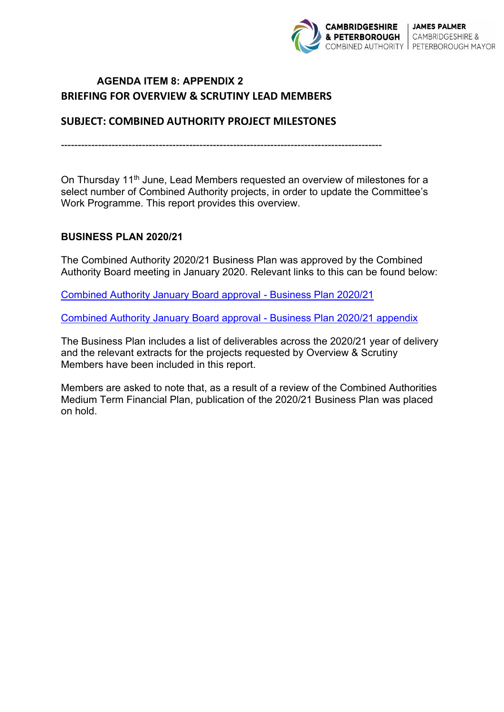

# **AGENDA ITEM 8: APPENDIX 2 BRIEFING FOR OVERVIEW & SCRUTINY LEAD MEMBERS**

## **SUBJECT: COMBINED AUTHORITY PROJECT MILESTONES**

-----------------------------------------------------------------------------------------------

On Thursday 11<sup>th</sup> June, Lead Members requested an overview of milestones for a select number of Combined Authority projects, in order to update the Committee's Work Programme. This report provides this overview.

### **BUSINESS PLAN 2020/21**

The Combined Authority 2020/21 Business Plan was approved by the Combined Authority Board meeting in January 2020. Relevant links to this can be found below:

[Combined Authority January Board approval - Business Plan 2020/21](https://cambridgeshirepeterboroughcagov.cmis.uk.com/Document.ashx?czJKcaeAi5tUFL1DTL2UE4zNRBcoShgo=PO6mDu6fAevfV%2f2FRJvAcQP%2bWA8mqeJfhaBYEBQzCyIFaqE0iNh1Fw%3d%3d&rUzwRPf%2bZ3zd4E7Ikn8Lyw%3d%3d=pwRE6AGJFLDNlh225F5QMaQWCtPHwdhUfCZ%2fLUQzgA2uL5jNRG4jdQ%3d%3d&mCTIbCubSFfXsDGW9IXnlg%3d%3d=hFflUdN3100%3d&kCx1AnS9%2fpWZQ40DXFvdEw%3d%3d=hFflUdN3100%3d&uJovDxwdjMPoYv%2bAJvYtyA%3d%3d=ctNJFf55vVA%3d&FgPlIEJYlotS%2bYGoBi5olA%3d%3d=NHdURQburHA%3d&d9Qjj0ag1Pd993jsyOJqFvmyB7X0CSQK=ctNJFf55vVA%3d&WGewmoAfeNR9xqBux0r1Q8Za60lavYmz=ctNJFf55vVA%3d&WGewmoAfeNQ16B2MHuCpMRKZMwaG1PaO=ctNJFf55vVA%3d)

[Combined Authority January Board approval - Business Plan 2020/21 appendix](https://cambridgeshirepeterboroughcagov.cmis.uk.com/Document.ashx?czJKcaeAi5tUFL1DTL2UE4zNRBcoShgo=%2fPxzRzmgFTF2rw33eZF9d3E40lkVZ9A0bcFiKnR0c%2fPYPWrnpcyW0w%3d%3d&rUzwRPf%2bZ3zd4E7Ikn8Lyw%3d%3d=pwRE6AGJFLDNlh225F5QMaQWCtPHwdhUfCZ%2fLUQzgA2uL5jNRG4jdQ%3d%3d&mCTIbCubSFfXsDGW9IXnlg%3d%3d=hFflUdN3100%3d&kCx1AnS9%2fpWZQ40DXFvdEw%3d%3d=hFflUdN3100%3d&uJovDxwdjMPoYv%2bAJvYtyA%3d%3d=ctNJFf55vVA%3d&FgPlIEJYlotS%2bYGoBi5olA%3d%3d=NHdURQburHA%3d&d9Qjj0ag1Pd993jsyOJqFvmyB7X0CSQK=ctNJFf55vVA%3d&WGewmoAfeNR9xqBux0r1Q8Za60lavYmz=ctNJFf55vVA%3d&WGewmoAfeNQ16B2MHuCpMRKZMwaG1PaO=ctNJFf55vVA%3d)

The Business Plan includes a list of deliverables across the 2020/21 year of delivery and the relevant extracts for the projects requested by Overview & Scrutiny Members have been included in this report.

Members are asked to note that, as a result of a review of the Combined Authorities Medium Term Financial Plan, publication of the 2020/21 Business Plan was placed on hold.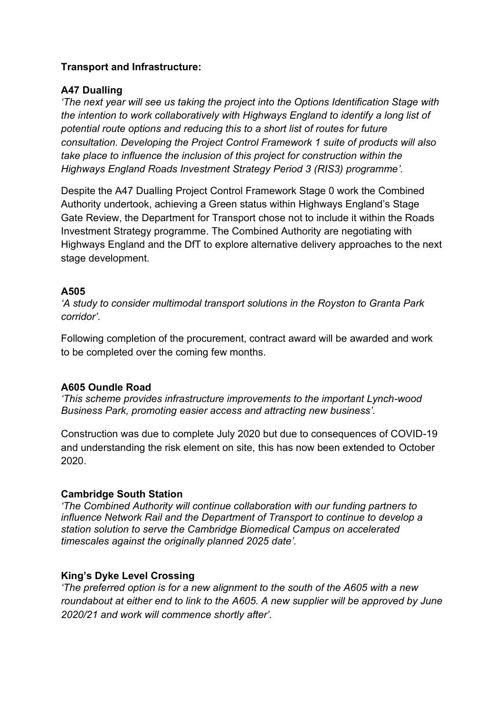## **Transport and Infrastructure:**

## **A47 Dualling**

*'The next year will see us taking the project into the Options Identification Stage with the intention to work collaboratively with Highways England to identify a long list of potential route options and reducing this to a short list of routes for future consultation. Developing the Project Control Framework 1 suite of products will also take place to influence the inclusion of this project for construction within the Highways England Roads Investment Strategy Period 3 (RIS3) programme'.* 

Despite the A47 Dualling Project Control Framework Stage 0 work the Combined Authority undertook, achieving a Green status within Highways England's Stage Gate Review, the Department for Transport chose not to include it within the Roads Investment Strategy programme. The Combined Authority are negotiating with Highways England and the DfT to explore alternative delivery approaches to the next stage development.

## **A505**

*'A study to consider multimodal transport solutions in the Royston to Granta Park corridor'*.

Following completion of the procurement, contract award will be awarded and work to be completed over the coming few months.

## **A605 Oundle Road**

*'This scheme provides infrastructure improvements to the important Lynch-wood Business Park, promoting easier access and attracting new business'.* 

Construction was due to complete July 2020 but due to consequences of COVID-19 and understanding the risk element on site, this has now been extended to October 2020.

## **Cambridge South Station**

*'The Combined Authority will continue collaboration with our funding partners to influence Network Rail and the Department of Transport to continue to develop a station solution to serve the Cambridge Biomedical Campus on accelerated timescales against the originally planned 2025 date'.* 

## **King's Dyke Level Crossing**

*'The preferred option is for a new alignment to the south of the A605 with a new roundabout at either end to link to the A605. A new supplier will be approved by June 2020/21 and work will commence shortly after'.*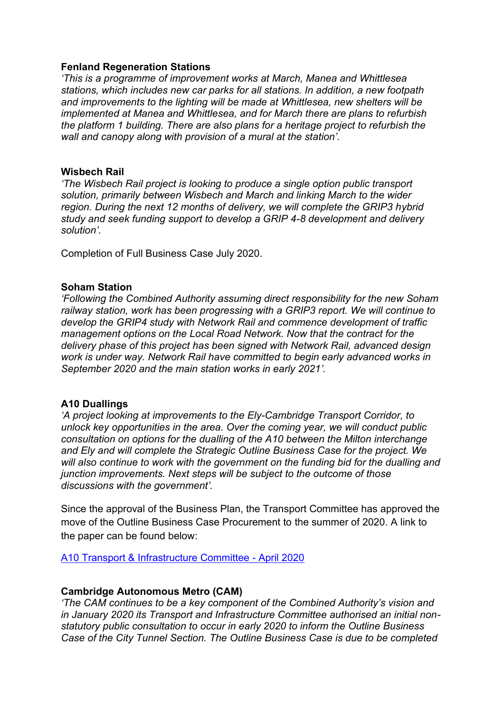#### **Fenland Regeneration Stations**

*'This is a programme of improvement works at March, Manea and Whittlesea stations, which includes new car parks for all stations. In addition, a new footpath and improvements to the lighting will be made at Whittlesea, new shelters will be implemented at Manea and Whittlesea, and for March there are plans to refurbish the platform 1 building. There are also plans for a heritage project to refurbish the wall and canopy along with provision of a mural at the station'.* 

#### **Wisbech Rail**

*'The Wisbech Rail project is looking to produce a single option public transport solution, primarily between Wisbech and March and linking March to the wider region. During the next 12 months of delivery, we will complete the GRIP3 hybrid study and seek funding support to develop a GRIP 4-8 development and delivery solution'*.

Completion of Full Business Case July 2020.

#### **Soham Station**

*'Following the Combined Authority assuming direct responsibility for the new Soham railway station, work has been progressing with a GRIP3 report. We will continue to develop the GRIP4 study with Network Rail and commence development of traffic management options on the Local Road Network. Now that the contract for the delivery phase of this project has been signed with Network Rail, advanced design work is under way. Network Rail have committed to begin early advanced works in September 2020 and the main station works in early 2021'.* 

### **A10 Duallings**

*'A project looking at improvements to the Ely-Cambridge Transport Corridor, to unlock key opportunities in the area. Over the coming year, we will conduct public consultation on options for the dualling of the A10 between the Milton interchange and Ely and will complete the Strategic Outline Business Case for the project. We will also continue to work with the government on the funding bid for the dualling and junction improvements. Next steps will be subject to the outcome of those discussions with the government'.* 

Since the approval of the Business Plan, the Transport Committee has approved the move of the Outline Business Case Procurement to the summer of 2020. A link to the paper can be found below:

[A10 Transport & Infrastructure Committee - April 2020](https://cambridgeshirepeterboroughcagov.cmis.uk.com/Document.ashx?czJKcaeAi5tUFL1DTL2UE4zNRBcoShgo=77AeNUR5kawcYHd01VJ1PbflHD0joseijUroxNYANDIhgYY2FY4Owg%3d%3d&rUzwRPf%2bZ3zd4E7Ikn8Lyw%3d%3d=pwRE6AGJFLDNlh225F5QMaQWCtPHwdhUfCZ%2fLUQzgA2uL5jNRG4jdQ%3d%3d&mCTIbCubSFfXsDGW9IXnlg%3d%3d=hFflUdN3100%3d&kCx1AnS9%2fpWZQ40DXFvdEw%3d%3d=hFflUdN3100%3d&uJovDxwdjMPoYv%2bAJvYtyA%3d%3d=ctNJFf55vVA%3d&FgPlIEJYlotS%2bYGoBi5olA%3d%3d=NHdURQburHA%3d&d9Qjj0ag1Pd993jsyOJqFvmyB7X0CSQK=ctNJFf55vVA%3d&WGewmoAfeNR9xqBux0r1Q8Za60lavYmz=ctNJFf55vVA%3d&WGewmoAfeNQ16B2MHuCpMRKZMwaG1PaO=ctNJFf55vVA%3d)

#### **Cambridge Autonomous Metro (CAM)**

*'The CAM continues to be a key component of the Combined Authority's vision and in January 2020 its Transport and Infrastructure Committee authorised an initial nonstatutory public consultation to occur in early 2020 to inform the Outline Business Case of the City Tunnel Section. The Outline Business Case is due to be completed*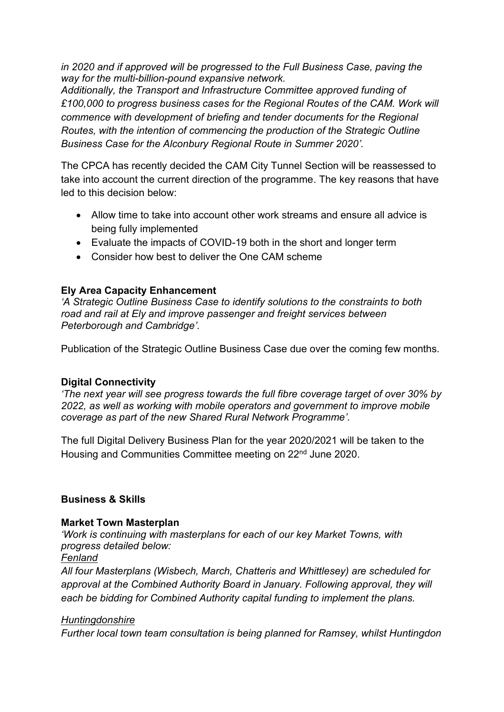*in 2020 and if approved will be progressed to the Full Business Case, paving the way for the multi-billion-pound expansive network.* 

*Additionally, the Transport and Infrastructure Committee approved funding of £100,000 to progress business cases for the Regional Routes of the CAM. Work will commence with development of briefing and tender documents for the Regional Routes, with the intention of commencing the production of the Strategic Outline Business Case for the Alconbury Regional Route in Summer 2020'.* 

The CPCA has recently decided the CAM City Tunnel Section will be reassessed to take into account the current direction of the programme. The key reasons that have led to this decision below:

- Allow time to take into account other work streams and ensure all advice is being fully implemented
- Evaluate the impacts of COVID-19 both in the short and longer term
- Consider how best to deliver the One CAM scheme

## **Ely Area Capacity Enhancement**

*'A Strategic Outline Business Case to identify solutions to the constraints to both road and rail at Ely and improve passenger and freight services between Peterborough and Cambridge'.* 

Publication of the Strategic Outline Business Case due over the coming few months.

## **Digital Connectivity**

*'The next year will see progress towards the full fibre coverage target of over 30% by 2022, as well as working with mobile operators and government to improve mobile coverage as part of the new Shared Rural Network Programme'.* 

The full Digital Delivery Business Plan for the year 2020/2021 will be taken to the Housing and Communities Committee meeting on 22<sup>nd</sup> June 2020.

## **Business & Skills**

## **Market Town Masterplan**

*'Work is continuing with masterplans for each of our key Market Towns, with progress detailed below:* 

### *Fenland*

*All four Masterplans (Wisbech, March, Chatteris and Whittlesey) are scheduled for approval at the Combined Authority Board in January. Following approval, they will each be bidding for Combined Authority capital funding to implement the plans.* 

## *Huntingdonshire*

*Further local town team consultation is being planned for Ramsey, whilst Huntingdon*